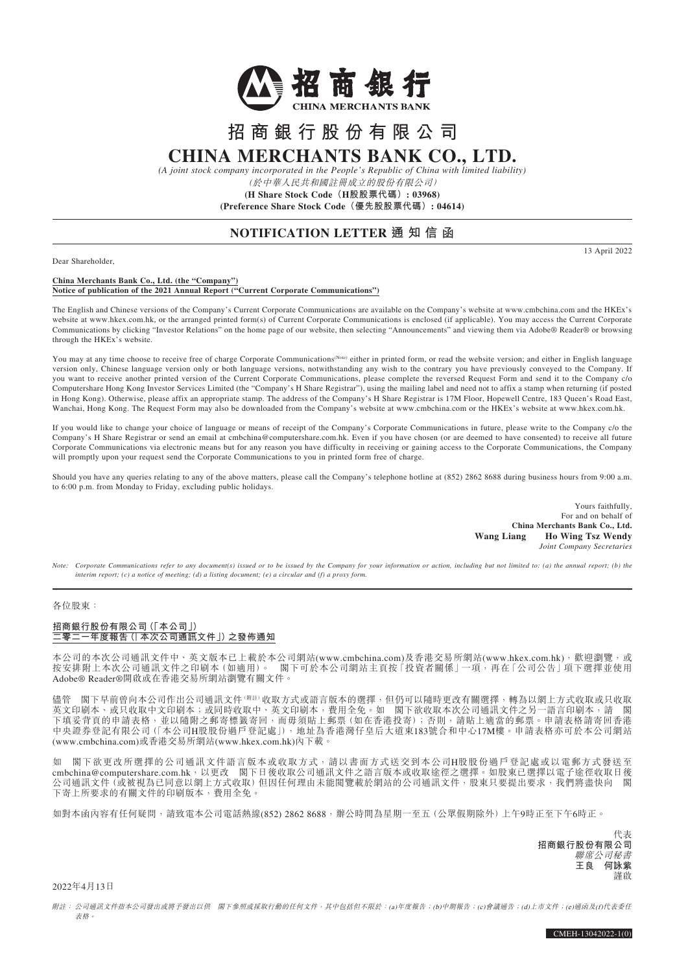

# **招商銀行股份有限公司 CHINA MERCHANTS BANK CO., LTD.**

*(A joint stock company incorporated in the People's Republic of China with limited liability)*

(於中華人民共和國註冊成立的股份有限公司)

**(H Share Stock Code(H股股票代碼): 03968) (Preference Share Stock Code(優先股股票代碼): 04614)**

## **NOTIFICATION LETTER 通 知 信 函**

13 April 2022

Dear Shareholder,

#### **China Merchants Bank Co., Ltd. (the "Company") Notice of publication of the 2021 Annual Report ("Current Corporate Communications")**

The English and Chinese versions of the Company's Current Corporate Communications are available on the Company's website at www.cmbchina.com and the HKEx's website at www.hkex.com.hk, or the arranged printed form(s) of Current Corporate Communications is enclosed (if applicable). You may access the Current Corporate Communications by clicking "Investor Relations" on the home page of our website, then selecting "Announcements" and viewing them via Adobe® Reader® or browsing through the HKEx's website.

You may at any time choose to receive free of charge Corporate Communications<sup>(Note)</sup> either in printed form, or read the website version; and either in English language version only, Chinese language version only or both language versions, notwithstanding any wish to the contrary you have previously conveyed to the Company. If you want to receive another printed version of the Current Corporate Communications, please complete the reversed Request Form and send it to the Company c/o Computershare Hong Kong Investor Services Limited (the "Company's H Share Registrar"), using the mailing label and need not to affix a stamp when returning (if posted in Hong Kong). Otherwise, please affix an appropriate stamp. The address of the Company's H Share Registrar is 17M Floor, Hopewell Centre, 183 Queen's Road East, Wanchai, Hong Kong. The Request Form may also be downloaded from the Company's website at www.cmbchina.com or the HKEx's website at www.hkex.com.hk.

If you would like to change your choice of language or means of receipt of the Company's Corporate Communications in future, please write to the Company c/o the Company's H Share Registrar or send an email at cmbchina@computershare.com.hk. Even if you have chosen (or are deemed to have consented) to receive all future Corporate Communications via electronic means but for any reason you have difficulty in receiving or gaining access to the Corporate Communications, the Company will promptly upon your request send the Corporate Communications to you in printed form free of charge.

Should you have any queries relating to any of the above matters, please call the Company's telephone hotline at  $(852)$  2862 8688 during business hours from 9:00 a.m. to 6:00 p.m. from Monday to Friday, excluding public holidays.

> Yours faithfully, For and on behalf of **China Merchants Bank Co., Ltd. Wang Liang Ho Wing Tsz Wendy** *Joint Company Secretaries*

*Note: Corporate Communications refer to any document(s)* issued or to be issued by the *Company for your information or action, including but not limited to: (a) the annual report; (b) the interim report; (c) a notice of meeting; (d) a listing document; (e) a circular and (f) a proxy form.*

#### 各位股東:

### **招商銀行股份有限公司(「本公司」) 二零二一年度報告(「本次公司通訊文件」)之發佈通知**

本公司的本次公司通訊文件中、英文版本已上載於本公司網站(www.cmbchina.com)及香港交易所網站(www.hkex.com.hk),献迎瀏覽,或<br>按安排附上本次公司通訊文件之印刷本 (如適用)。 閣下可於本公司網站主頁按 [投資者關係 | 一項,再在 [公司公告 | 項下選擇並使用 图下可於本公司網站主頁按「投資者關係」一項,再在「公司公告」項下選擇並使用 Adobe® Reader®開啟或在香港交易所網站瀏覽有關文件。

閣下早前曾向本公司作出公司通訊文件(<sup>開註)</sup>收取方式或語言版本的選擇,但仍可以隨時更改有關選擇,轉為以網上方式收取或只收取 英文印刷本、或只收取中文印刷布,或同時收取中、英文印刷本,費用全免。如 閣下欲收取本次公司通訊文件之另一語言印刷本,請 閣 下填妥背頁的申請表格,並以隨附之郵寄標籤寄回,而毋須貼上郵票 (如在香港投寄);否則,請貼上適當的郵票。申請表格請寄回香港 中央證券登記有限公司(「本公司H股股份過戶登記處」),地址為香港灣仔皇后大道東183號合和中心17M樓。申請表格亦可於本公司網站 (www.cmbchina.com)或香港交易所網站(www.hkex.com.hk)內下載。

如 閣下欲更改所選擇的公司通訊文件語言版本或收取方式,請以書面方式送交到本公司H股股份過戶登記處或以電郵方式發送至 cmbchina@computershare.com.hk,以更改 閣下日後收取公司通訊文件之語言版本或收取途徑之選擇。如股東已選擇以電子途徑收取日後 公司通訊文件 (或被視為已同意以網上方式收取) 但因任何理由未能閲覽載於網站的公司通訊文件,股東只要提出要求,我們將盡快向 閣 下寄上所要求的有關文件的印刷版本,費用全免。

如對本函內容有任何疑問,請致電本公司電話熱線(852) 2862 8688,辦公時間為星期一至五(公眾假期除外)上午9時正至下午6時正。

代表 **招商銀行股份有限公司** 聯席公司秘書 **王良 何詠紫** 謹啟

2022年4月13日

附註: 公司通訊文件指本公司發出或將予發出以供 閣下參照或採取行動的任何文件,其中包括但不限於:(a)年度報告;(b)中期報告;(c)會議通告;(d)上市文件;(e)通函及(f)代表委任 表格。